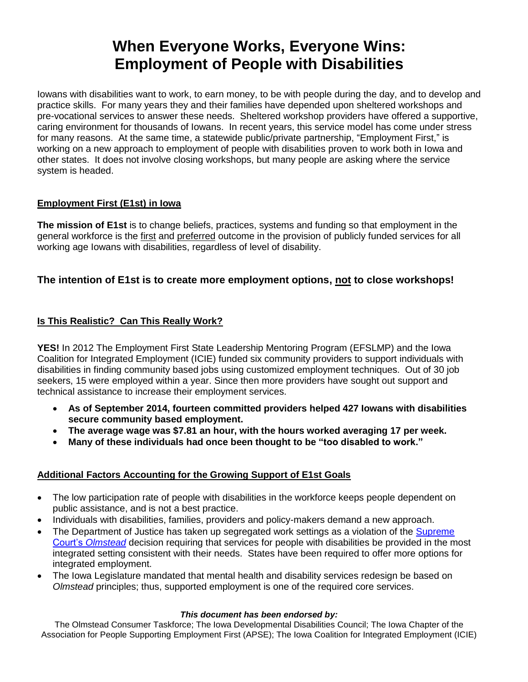# **When Everyone Works, Everyone Wins: Employment of People with Disabilities**

Iowans with disabilities want to work, to earn money, to be with people during the day, and to develop and practice skills. For many years they and their families have depended upon sheltered workshops and pre-vocational services to answer these needs. Sheltered workshop providers have offered a supportive, caring environment for thousands of Iowans. In recent years, this service model has come under stress for many reasons. At the same time, a statewide public/private partnership, "Employment First," is working on a new approach to employment of people with disabilities proven to work both in Iowa and other states. It does not involve closing workshops, but many people are asking where the service system is headed.

#### **Employment First (E1st) in Iowa**

**The mission of E1st** is to change beliefs, practices, systems and funding so that employment in the general workforce is the first and preferred outcome in the provision of publicly funded services for all working age Iowans with disabilities, regardless of level of disability.

## **The intention of E1st is to create more employment options, not to close workshops!**

## **Is This Realistic? Can This Really Work?**

**YES!** In 2012 The Employment First State Leadership Mentoring Program (EFSLMP) and the Iowa Coalition for Integrated Employment (ICIE) funded six community providers to support individuals with disabilities in finding community based jobs using customized employment techniques. Out of 30 job seekers, 15 were employed within a year. Since then more providers have sought out support and technical assistance to increase their employment services.

- **As of September 2014, fourteen committed providers helped 427 Iowans with disabilities secure community based employment.**
- **The average wage was \$7.81 an hour, with the hours worked averaging 17 per week.**
- **Many of these individuals had once been thought to be "too disabled to work."**

## **Additional Factors Accounting for the Growing Support of E1st Goals**

- The low participation rate of people with disabilities in the workforce keeps people dependent on public assistance, and is not a best practice.
- Individuals with disabilities, families, providers and policy-makers demand a new approach.
- The Department of Justice has taken up segregated work settings as a violation of the Supreme Court's *[Olmstead](http://www.ada.gov/olmstead/index.htm)* decision requiring that services for people with disabilities be provided in the most integrated setting consistent with their needs. States have been required to offer more options for integrated employment.
- The Iowa Legislature mandated that mental health and disability services redesign be based on *Olmstead* principles; thus, supported employment is one of the required core services.

#### *This document has been endorsed by:*

The Olmstead Consumer Taskforce; The Iowa Developmental Disabilities Council; The Iowa Chapter of the Association for People Supporting Employment First (APSE); The Iowa Coalition for Integrated Employment (ICIE)